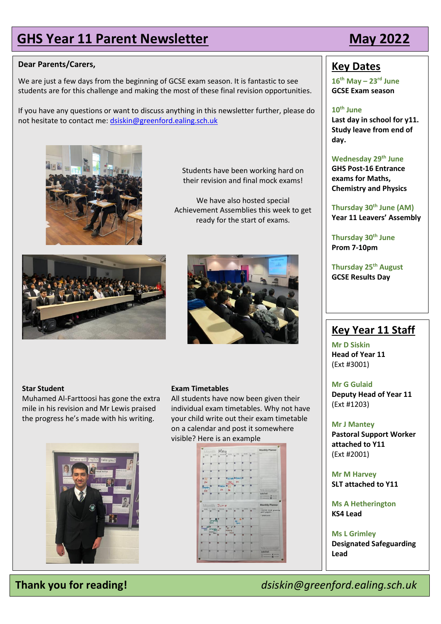# **GHS Year 11 Parent Newsletter May 2022**

## **Dear Parents/Carers,**

We are just a few days from the beginning of GCSE exam season. It is fantastic to see students are for this challenge and making the most of these final revision opportunities.

If you have any questions or want to discuss anything in this newsletter further, please do not hesitate to contact me[: dsiskin@greenford.ealing.sch.uk](mailto:dsiskin@greenford.ealing.sch.uk)



Students have been working hard on their revision and final mock exams!

We have also hosted special Achievement Assemblies this week to get ready for the start of exams.





## **Star Student**

Muhamed Al-Farttoosi has gone the extra mile in his revision and Mr Lewis praised the progress he's made with his writing.



## **Exam Timetables**

All students have now been given their individual exam timetables. Why not have your child write out their exam timetable on a calendar and post it somewhere visible? Here is an example



## **Key Dates**

**16 th May – 23rd June GCSE Exam season**

## **10th June**

**Last day in school for y11. Study leave from end of day.**

**Wednesday 29th June GHS Post-16 Entrance exams for Maths, Chemistry and Physics**

**Thursday 30th June (AM) Year 11 Leavers' Assembly** 

**Thursday 30th June Prom 7-10pm**

**Thursday 25th August GCSE Results Day**

## **Key Year 11 Staff**

**Mr D Siskin Head of Year 11** (Ext #3001)

### **Mr G Gulaid**

**Deputy Head of Year 11** (Ext #1203)

### **Mr J Mantey**

**Pastoral Support Worker attached to Y11** (Ext #2001)

**Mr M Harvey SLT attached to Y11**

**Ms A Hetherington KS4 Lead**

**Ms L Grimley Designated Safeguarding Lead**

**Thank you for reading!** *dsiskin@greenford.ealing.sch.uk*